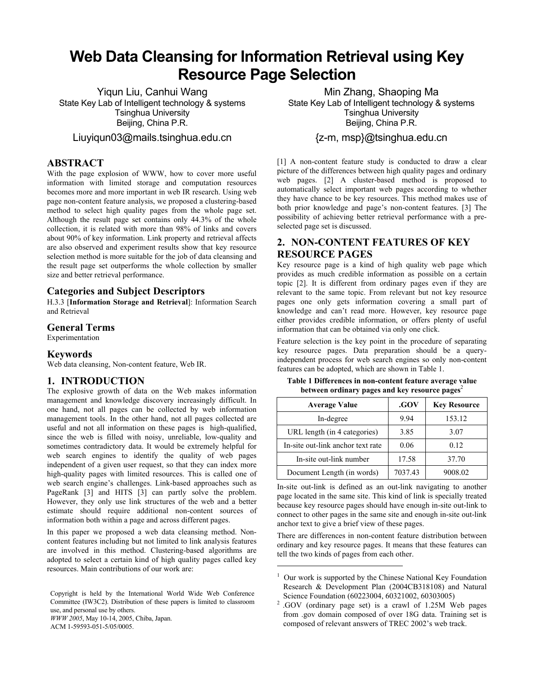# **Web Data Cleansing for Information Retrieval using Key Resource Page Selection**

Yiqun Liu, Canhui Wang State Key Lab of Intelligent technology & systems Tsinghua University Beijing, China P.R.

### Liuyiqun03@mails.tsinghua.edu.cn

### **ABSTRACT**

With the page explosion of WWW, how to cover more useful information with limited storage and computation resources becomes more and more important in web IR research. Using web page non-content feature analysis, we proposed a clustering-based method to select high quality pages from the whole page set. Although the result page set contains only 44.3% of the whole collection, it is related with more than 98% of links and covers about 90% of key information. Link property and retrieval affects are also observed and experiment results show that key resource selection method is more suitable for the job of data cleansing and the result page set outperforms the whole collection by smaller size and better retrieval performance.

### **Categories and Subject Descriptors**

H.3.3 [**Information Storage and Retrieval**]: Information Search and Retrieval

### **General Terms**

Experimentation

### **Keywords**

Web data cleansing, Non-content feature, Web IR.

### **1. INTRODUCTION**

The explosive growth of data on the Web makes information management and knowledge discovery increasingly difficult. In one hand, not all pages can be collected by web information management tools. In the other hand, not all pages collected are useful and not all information on these pages is high-qualified, since the web is filled with noisy, unreliable, low-quality and sometimes contradictory data. It would be extremely helpful for web search engines to identify the quality of web pages independent of a given user request, so that they can index more high-quality pages with limited resources. This is called one of web search engine's challenges. Link-based approaches such as PageRank [3] and HITS [3] can partly solve the problem. However, they only use link structures of the web and a better estimate should require additional non-content sources of information both within a page and across different pages.

In this paper we proposed a web data cleansing method. Noncontent features including but not limited to link analysis features are involved in this method. Clustering-based algorithms are adopted to select a certain kind of high quality pages called key resources. Main contributions of our work are:

Copyright is held by the International World Wide Web Conference Committee (IW3C2). Distribution of these papers is limited to classroom use, and personal use by others. *WWW 2005*, May 10-14, 2005, Chiba, Japan.

ACM 1-59593-051-5/05/0005.

Min Zhang, Shaoping Ma State Key Lab of Intelligent technology & systems Tsinghua University Beijing, China P.R.

{z-m, msp}@tsinghua.edu.cn

[1] A non-content feature study is conducted to draw a clear picture of the differences between high quality pages and ordinary web pages. [2] A cluster-based method is proposed to automatically select important web pages according to whether they have chance to be key resources. This method makes use of both prior knowledge and page's non-content features. [3] The possibility of achieving better retrieval performance with a preselected page set is discussed.

# **2. NON-CONTENT FEATURES OF KEY RESOURCE PAGES**

Key resource page is a kind of high quality web page which provides as much credible information as possible on a certain topic [2]. It is different from ordinary pages even if they are relevant to the same topic. From relevant but not key resource pages one only gets information covering a small part of knowledge and can't read more. However, key resource page either provides credible information, or offers plenty of useful information that can be obtained via only one click.

Feature selection is the key point in the procedure of separating key resource pages. Data preparation should be a queryindependent process for web search engines so only non-content features can be adopted, which are shown in Table 1.

**Table 1 Differences in non-content feature average value between ordinary pages and key resource pages**<sup>2</sup>

| <b>Average Value</b>              | .GOV    | <b>Key Resource</b> |
|-----------------------------------|---------|---------------------|
| In-degree                         | 9.94    | 153.12              |
| URL length (in 4 categories)      | 3.85    | 3.07                |
| In-site out-link anchor text rate | 0.06    | 0.12                |
| In-site out-link number           | 17.58   | 37.70               |
| Document Length (in words)        | 7037.43 | 9008.02             |

In-site out-link is defined as an out-link navigating to another page located in the same site. This kind of link is specially treated because key resource pages should have enough in-site out-link to connect to other pages in the same site and enough in-site out-link anchor text to give a brief view of these pages.

There are differences in non-content feature distribution between ordinary and key resource pages. It means that these features can tell the two kinds of pages from each other.

 $\overline{a}$ 

<sup>&</sup>lt;sup>1</sup> Our work is supported by the Chinese National Key Foundation Research & Development Plan (2004CB318108) and Natural

Science Foundation (60223004, 60321002, 60303005)<br><sup>2</sup> .GOV (ordinary page set) is a crawl of 1.25M Web pages from .gov domain composed of over 18G data. Training set is composed of relevant answers of TREC 2002's web track.